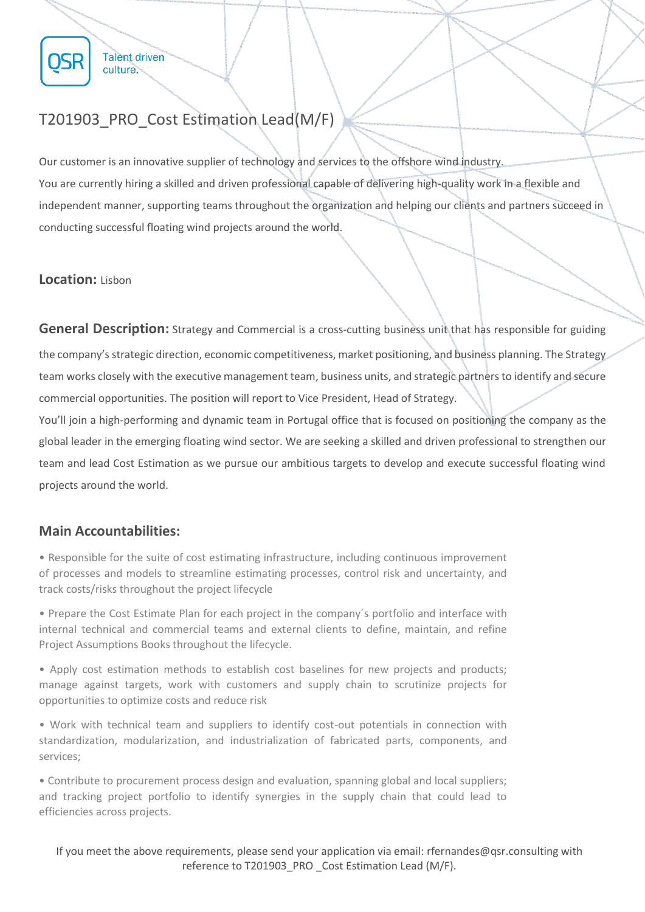

**Talent driven** culture.

Our customer is an innovative supplier of technology and services to the offshore wind industry. You are currently hiring a skilled and driven professional capable of delivering high-quality work in a flexible and independent manner, supporting teams throughout the organization and helping our clients and partners succeed in conducting successful floating wind projects around the world.

## **Location:** Lisbon

**General Description:** Strategy and Commercial is a cross-cutting business unit that has responsible for guiding the company's strategic direction, economic competitiveness, market positioning, and business planning. The Strategy team works closely with the executive management team, business units, and strategic partners to identify and secure commercial opportunities. The position will report to Vice President, Head of Strategy.

You'll join a high-performing and dynamic team in Portugal office that is focused on positioning the company as the global leader in the emerging floating wind sector. We are seeking a skilled and driven professional to strengthen our team and lead Cost Estimation as we pursue our ambitious targets to develop and execute successful floating wind projects around the world.

# **Main Accountabilities:**

• Responsible for the suite of cost estimating infrastructure, including continuous improvement of processes and models to streamline estimating processes, control risk and uncertainty, and track costs/risks throughout the project lifecycle

• Prepare the Cost Estimate Plan for each project in the company´s portfolio and interface with internal technical and commercial teams and external clients to define, maintain, and refine Project Assumptions Books throughout the lifecycle.

• Apply cost estimation methods to establish cost baselines for new projects and products; manage against targets, work with customers and supply chain to scrutinize projects for opportunities to optimize costs and reduce risk

• Work with technical team and suppliers to identify cost-out potentials in connection with standardization, modularization, and industrialization of fabricated parts, components, and services;

• Contribute to procurement process design and evaluation, spanning global and local suppliers; and tracking project portfolio to identify synergies in the supply chain that could lead to efficiencies across projects.

If you meet the above requirements, please send your application via email: rfernandes@qsr.consulting with reference to T201903\_PRO \_Cost Estimation Lead (M/F).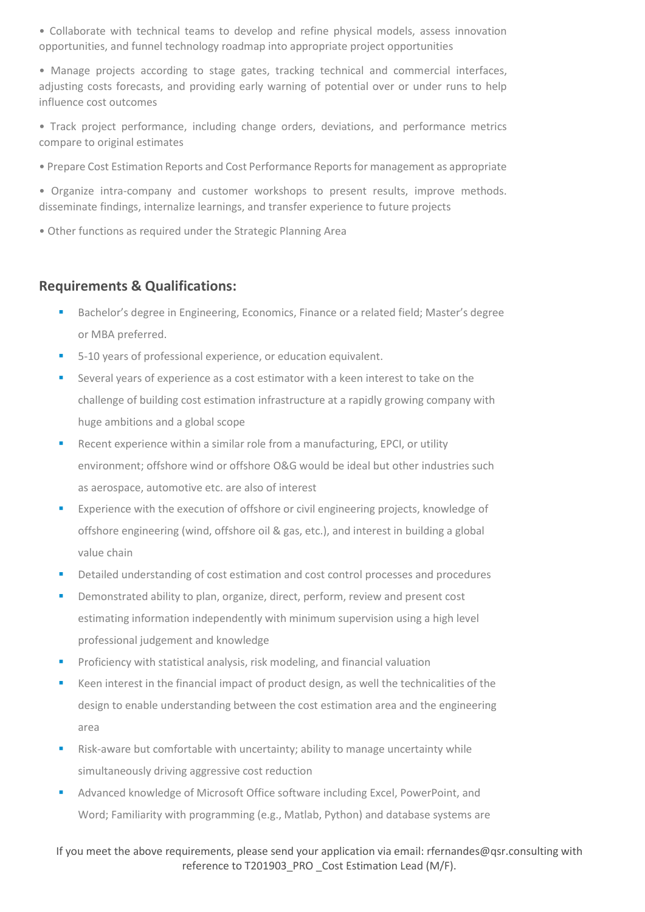• Collaborate with technical teams to develop and refine physical models, assess innovation opportunities, and funnel technology roadmap into appropriate project opportunities

• Manage projects according to stage gates, tracking technical and commercial interfaces, adjusting costs forecasts, and providing early warning of potential over or under runs to help influence cost outcomes

• Track project performance, including change orders, deviations, and performance metrics compare to original estimates

• Prepare Cost Estimation Reports and Cost Performance Reports for management as appropriate

• Organize intra-company and customer workshops to present results, improve methods. disseminate findings, internalize learnings, and transfer experience to future projects

• Other functions as required under the Strategic Planning Area

# **Requirements & Qualifications:**

- Bachelor's degree in Engineering, Economics, Finance or a related field; Master's degree or MBA preferred.
- 5-10 years of professional experience, or education equivalent.
- Several years of experience as a cost estimator with a keen interest to take on the challenge of building cost estimation infrastructure at a rapidly growing company with huge ambitions and a global scope
- Recent experience within a similar role from a manufacturing, EPCI, or utility environment; offshore wind or offshore O&G would be ideal but other industries such as aerospace, automotive etc. are also of interest
- Experience with the execution of offshore or civil engineering projects, knowledge of offshore engineering (wind, offshore oil & gas, etc.), and interest in building a global value chain
- Detailed understanding of cost estimation and cost control processes and procedures
- Demonstrated ability to plan, organize, direct, perform, review and present cost estimating information independently with minimum supervision using a high level professional judgement and knowledge
- Proficiency with statistical analysis, risk modeling, and financial valuation
- Keen interest in the financial impact of product design, as well the technicalities of the design to enable understanding between the cost estimation area and the engineering area
- Risk-aware but comfortable with uncertainty; ability to manage uncertainty while simultaneously driving aggressive cost reduction
- Advanced knowledge of Microsoft Office software including Excel, PowerPoint, and Word; Familiarity with programming (e.g., Matlab, Python) and database systems are

### If you meet the above requirements, please send your application via email: rfernandes@qsr.consulting with reference to T201903\_PRO \_Cost Estimation Lead (M/F).